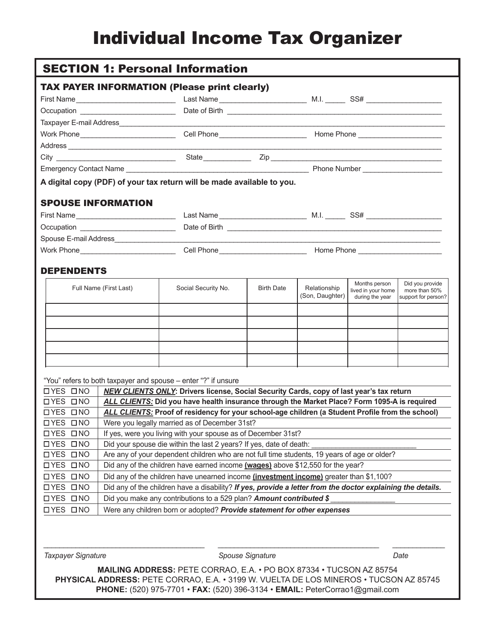# Individual Income Tax Organizer

|                   |                                                                                                             | <b>SECTION 1: Personal Information</b>                                                                                                                                                           |                                                                     |                 |                                     |                                  |
|-------------------|-------------------------------------------------------------------------------------------------------------|--------------------------------------------------------------------------------------------------------------------------------------------------------------------------------------------------|---------------------------------------------------------------------|-----------------|-------------------------------------|----------------------------------|
|                   |                                                                                                             | <b>TAX PAYER INFORMATION (Please print clearly)</b>                                                                                                                                              |                                                                     |                 |                                     |                                  |
|                   |                                                                                                             |                                                                                                                                                                                                  |                                                                     |                 |                                     |                                  |
|                   | Occupation ___________________________                                                                      |                                                                                                                                                                                                  |                                                                     |                 |                                     |                                  |
|                   |                                                                                                             |                                                                                                                                                                                                  |                                                                     |                 |                                     |                                  |
|                   |                                                                                                             | Work Phone________________________________Cell Phone_____________________________ Home Phone _________________                                                                                   |                                                                     |                 |                                     |                                  |
|                   |                                                                                                             |                                                                                                                                                                                                  |                                                                     |                 |                                     |                                  |
|                   |                                                                                                             |                                                                                                                                                                                                  |                                                                     |                 |                                     |                                  |
|                   |                                                                                                             |                                                                                                                                                                                                  |                                                                     |                 |                                     |                                  |
|                   |                                                                                                             | A digital copy (PDF) of your tax return will be made available to you.                                                                                                                           |                                                                     |                 |                                     |                                  |
|                   | <b>SPOUSE INFORMATION</b>                                                                                   |                                                                                                                                                                                                  |                                                                     |                 |                                     |                                  |
|                   |                                                                                                             |                                                                                                                                                                                                  |                                                                     |                 |                                     |                                  |
|                   | Occupation __________________________                                                                       |                                                                                                                                                                                                  |                                                                     |                 |                                     |                                  |
|                   |                                                                                                             |                                                                                                                                                                                                  |                                                                     |                 |                                     |                                  |
|                   |                                                                                                             |                                                                                                                                                                                                  |                                                                     |                 |                                     |                                  |
| <b>DEPENDENTS</b> | Full Name (First Last)                                                                                      | Social Security No.                                                                                                                                                                              | <b>Birth Date</b>                                                   | Relationship    | Months person<br>lived in your home | Did you provide<br>more than 50% |
|                   |                                                                                                             |                                                                                                                                                                                                  |                                                                     | (Son, Daughter) | during the year                     | support for person?              |
|                   |                                                                                                             |                                                                                                                                                                                                  |                                                                     |                 |                                     |                                  |
|                   |                                                                                                             |                                                                                                                                                                                                  |                                                                     |                 |                                     |                                  |
|                   |                                                                                                             |                                                                                                                                                                                                  |                                                                     |                 |                                     |                                  |
|                   |                                                                                                             |                                                                                                                                                                                                  |                                                                     |                 |                                     |                                  |
|                   |                                                                                                             | "You" refers to both taxpayer and spouse - enter "?" if unsure                                                                                                                                   |                                                                     |                 |                                     |                                  |
| <b>OYES ONO</b>   |                                                                                                             | <b>NEW CLIENTS ONLY:</b> Drivers license, Social Security Cards, copy of last year's tax return                                                                                                  |                                                                     |                 |                                     |                                  |
| <b>OYES ONO</b>   |                                                                                                             |                                                                                                                                                                                                  |                                                                     |                 |                                     |                                  |
| <b>OYES ONO</b>   |                                                                                                             | ALL CLIENTS: Did you have health insurance through the Market Place? Form 1095-A is required<br>ALL CLIENTS: Proof of residency for your school-age children (a Student Profile from the school) |                                                                     |                 |                                     |                                  |
| <b>OYES ONO</b>   |                                                                                                             | Were you legally married as of December 31st?                                                                                                                                                    |                                                                     |                 |                                     |                                  |
| <b>OYES ONO</b>   | If yes, were you living with your spouse as of December 31st?                                               |                                                                                                                                                                                                  |                                                                     |                 |                                     |                                  |
| <b>OYES ONO</b>   | Did your spouse die within the last 2 years? If yes, date of death:                                         |                                                                                                                                                                                                  |                                                                     |                 |                                     |                                  |
| <b>OYES ONO</b>   | Are any of your dependent children who are not full time students, 19 years of age or older?                |                                                                                                                                                                                                  |                                                                     |                 |                                     |                                  |
| <b>OYES ONO</b>   |                                                                                                             | Did any of the children have earned income (wages) above \$12,550 for the year?                                                                                                                  |                                                                     |                 |                                     |                                  |
| <b>OYES ONO</b>   |                                                                                                             | Did any of the children have unearned income (investment income) greater than \$1,100?                                                                                                           |                                                                     |                 |                                     |                                  |
|                   | Did any of the children have a disability? If yes, provide a letter from the doctor explaining the details. |                                                                                                                                                                                                  |                                                                     |                 |                                     |                                  |
| <b>OYES ONO</b>   |                                                                                                             |                                                                                                                                                                                                  | Did you make any contributions to a 529 plan? Amount contributed \$ |                 |                                     |                                  |
| <b>OYES ONO</b>   |                                                                                                             |                                                                                                                                                                                                  |                                                                     |                 |                                     |                                  |

**Taxpayer Signature Community Community Spouse Signature Community Date** Date

*\_\_\_\_\_\_\_\_\_\_\_\_\_\_\_\_\_\_\_\_\_\_\_\_\_\_\_\_\_\_\_\_\_\_\_\_\_\_\_\_ \_\_\_\_\_\_\_\_\_\_\_\_\_\_\_\_\_\_\_\_\_\_\_\_\_\_\_\_\_\_\_\_\_\_\_\_\_\_\_\_ \_\_\_\_\_\_\_\_\_\_\_\_\_*

**MAILING ADDRESS:** PETE CORRAO, E.A. • PO BOX 87334 • TUCSON AZ 85754 **PHYSICAL ADDRESS:** PETE CORRAO, E.A. • 3199 W. VUELTA DE LOS MINEROS • TUCSON AZ 85745 **PHONE:** (520) 975-7701 • **FAX:** (520) 396-3134 • **EMAIL:** PeterCorrao1@gmail.com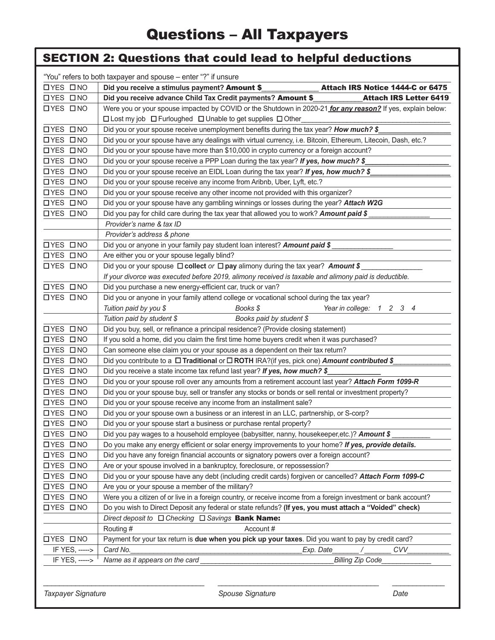|                 | <b>SECTION 2: Questions that could lead to helpful deductions</b>                                                |                                                                                         |  |  |  |
|-----------------|------------------------------------------------------------------------------------------------------------------|-----------------------------------------------------------------------------------------|--|--|--|
|                 | "You" refers to both taxpayer and spouse – enter "?" if unsure                                                   |                                                                                         |  |  |  |
| <b>OYES ONO</b> | Did you receive a stimulus payment? Amount \$                                                                    | Attach IRS Notice 1444-C or 6475                                                        |  |  |  |
| <b>OYES ONO</b> | Did you receive advance Child Tax Credit payments? Amount \$                                                     | <b>Attach IRS Letter 6419</b>                                                           |  |  |  |
| OYES ONO        | Were you or your spouse impacted by COVID or the Shutdown in 2020-21 for any reason? If yes, explain below:      |                                                                                         |  |  |  |
|                 | □ Lost my job □ Furloughed □ Unable to get supplies □ Other                                                      |                                                                                         |  |  |  |
| <b>OYES ONO</b> | Did you or your spouse receive unemployment benefits during the tax year? How much? \$                           |                                                                                         |  |  |  |
| <b>OYES ONO</b> | Did you or your spouse have any dealings with virtual currency, i.e. Bitcoin, Ethereum, Litecoin, Dash, etc.?    |                                                                                         |  |  |  |
| <b>OYES ONO</b> | Did you or your spouse have more than \$10,000 in crypto currency or a foreign account?                          |                                                                                         |  |  |  |
| <b>OYES ONO</b> | Did you or your spouse receive a PPP Loan during the tax year? If yes, how much? \$                              |                                                                                         |  |  |  |
| <b>OYES ONO</b> | Did you or your spouse receive an EIDL Loan during the tax year? If yes, how much? \$                            |                                                                                         |  |  |  |
| <b>OYES ONO</b> | Did you or your spouse receive any income from Aribnb, Uber, Lyft, etc.?                                         |                                                                                         |  |  |  |
| <b>OYES ONO</b> | Did you or your spouse receive any other income not provided with this organizer?                                |                                                                                         |  |  |  |
| <b>OYES ONO</b> | Did you or your spouse have any gambling winnings or losses during the year? Attach W2G                          |                                                                                         |  |  |  |
| <b>OYES ONO</b> | Did you pay for child care during the tax year that allowed you to work? Amount paid \$                          |                                                                                         |  |  |  |
|                 | Provider's name & tax ID                                                                                         |                                                                                         |  |  |  |
|                 | Provider's address & phone                                                                                       |                                                                                         |  |  |  |
| <b>OYES ONO</b> | Did you or anyone in your family pay student loan interest? Amount paid \$                                       |                                                                                         |  |  |  |
| <b>OYES ONO</b> | Are either you or your spouse legally blind?                                                                     |                                                                                         |  |  |  |
| <b>OYES ONO</b> | Did you or your spouse $\Box$ collect or $\Box$ pay alimony during the tax year? Amount \$                       |                                                                                         |  |  |  |
|                 | If your divorce was executed before 2019, alimony received is taxable and alimony paid is deductible.            |                                                                                         |  |  |  |
| <b>OYES ONO</b> | Did you purchase a new energy-efficient car, truck or van?                                                       |                                                                                         |  |  |  |
| <b>OYES ONO</b> | Did you or anyone in your family attend college or vocational school during the tax year?                        |                                                                                         |  |  |  |
|                 | Tuition paid by you \$<br>Books \$                                                                               | Year in college: 1 2 3 4                                                                |  |  |  |
|                 | Tuition paid by student \$<br>Books paid by student \$                                                           |                                                                                         |  |  |  |
| <b>OYES ONO</b> | Did you buy, sell, or refinance a principal residence? (Provide closing statement)                               |                                                                                         |  |  |  |
| <b>OYES ONO</b> | If you sold a home, did you claim the first time home buyers credit when it was purchased?                       |                                                                                         |  |  |  |
| <b>OYES ONO</b> | Can someone else claim you or your spouse as a dependent on their tax return?                                    |                                                                                         |  |  |  |
| <b>OYES ONO</b> | Did you contribute to a □ Traditional or □ ROTH IRA?(if yes, pick one) Amount contributed \$                     |                                                                                         |  |  |  |
| <b>OYES ONO</b> | Did you receive a state income tax refund last year? If yes, how much? \$                                        |                                                                                         |  |  |  |
| <b>OYES ONO</b> | Did you or your spouse roll over any amounts from a retirement account last year? Attach Form 1099-R             |                                                                                         |  |  |  |
| <b>OYES ONO</b> | Did you or your spouse buy, sell or transfer any stocks or bonds or sell rental or investment property?          |                                                                                         |  |  |  |
| <b>OYES ONO</b> | Did you or your spouse receive any income from an installment sale?                                              |                                                                                         |  |  |  |
| <b>OYES ONO</b> | Did you or your spouse own a business or an interest in an LLC, partnership, or S-corp?                          |                                                                                         |  |  |  |
| OYES ONO        | Did you or your spouse start a business or purchase rental property?                                             |                                                                                         |  |  |  |
| <b>OYES ONO</b> | Did you pay wages to a household employee (babysitter, nanny, housekeeper, etc.)? Amount \$                      |                                                                                         |  |  |  |
| <b>OYES ONO</b> | Do you make any energy efficient or solar energy improvements to your home? If yes, provide details.             |                                                                                         |  |  |  |
| OYES ONO        |                                                                                                                  | Did you have any foreign financial accounts or signatory powers over a foreign account? |  |  |  |
| <b>OYES ONO</b> | Are or your spouse involved in a bankruptcy, foreclosure, or repossession?                                       |                                                                                         |  |  |  |
| <b>OYES ONO</b> | Did you or your spouse have any debt (including credit cards) forgiven or cancelled? Attach Form 1099-C          |                                                                                         |  |  |  |
| <b>OYES ONO</b> | Are you or your spouse a member of the military?                                                                 |                                                                                         |  |  |  |
| <b>OYES ONO</b> | Were you a citizen of or live in a foreign country, or receive income from a foreign investment or bank account? |                                                                                         |  |  |  |
| <b>OYES ONO</b> | Do you wish to Direct Deposit any federal or state refunds? (If yes, you must attach a "Voided" check)           |                                                                                         |  |  |  |
|                 | Direct deposit to $\Box$ Checking $\Box$ Savings <b>Bank Name:</b>                                               |                                                                                         |  |  |  |
|                 | Routing #<br>Account#                                                                                            |                                                                                         |  |  |  |
| <b>OYES ONO</b> | Payment for your tax return is due when you pick up your taxes. Did you want to pay by credit card?              |                                                                                         |  |  |  |
| IF YES, ----->  | Card No.<br>Exp. Date_                                                                                           | CVV .                                                                                   |  |  |  |
| IF YES, ----->  | Name as it appears on the card                                                                                   | <b>Billing Zip Code</b>                                                                 |  |  |  |
|                 |                                                                                                                  |                                                                                         |  |  |  |

**Taxpayer Signature and Construction Construction Spouse Signature Construction Construction Construction Construction Construction Construction Construction Construction Construction Construction Construction Construction** 

*\_\_\_\_\_\_\_\_\_\_\_\_\_\_\_\_\_\_\_\_\_\_\_\_\_\_\_\_\_\_\_\_\_\_\_\_\_\_\_\_ \_\_\_\_\_\_\_\_\_\_\_\_\_\_\_\_\_\_\_\_\_\_\_\_\_\_\_\_\_\_\_\_\_\_\_\_\_\_\_\_ \_\_\_\_\_\_\_\_\_\_\_\_\_*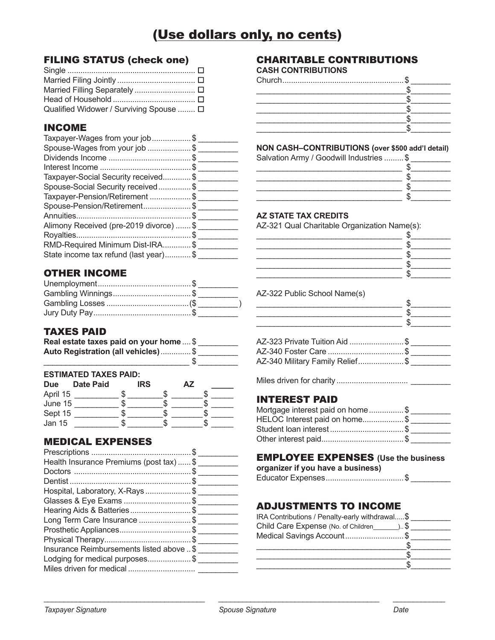# (Use dollars only, no cents)

#### FILING STATUS (check one)

| Qualified Widower / Surviving Spouse  □ |  |
|-----------------------------------------|--|

# INCOME

| Taxpayer-Wages from your job\$          |  |
|-----------------------------------------|--|
| Spouse-Wages from your job \$           |  |
|                                         |  |
|                                         |  |
| Taxpayer-Social Security received\$     |  |
| Spouse-Social Security received\$       |  |
| Taxpayer-Pension/Retirement \$          |  |
| Spouse-Pension/Retirement\$             |  |
|                                         |  |
| Alimony Received (pre-2019 divorce)  \$ |  |
|                                         |  |
| RMD-Required Minimum Dist-IRA\$         |  |
| State income tax refund (last year)\$   |  |
|                                         |  |

# OTHER INCOME

### TAXES PAID

| Real estate taxes paid on your home  \$ |  |
|-----------------------------------------|--|
| Auto Registration (all vehicles)\$      |  |
|                                         |  |

#### **ESTIMATED TAXES PAID:**

| <b>Due</b> | <b>Date Paid</b> | <b>IRS</b> | ΑZ |  |
|------------|------------------|------------|----|--|
| April 15   |                  |            |    |  |
| June 15    |                  |            |    |  |
| Sept 15    |                  |            |    |  |
| Jan 15     |                  |            |    |  |

## MEDICAL EXPENSES

| Health Insurance Premiums (post tax)  \$  |  |
|-------------------------------------------|--|
|                                           |  |
|                                           |  |
| Hospital, Laboratory, X-Rays\$            |  |
| Glasses & Eye Exams \$                    |  |
| Hearing Aids & Batteries\$                |  |
| Long Term Care Insurance \$               |  |
| Prosthetic Appliances\$                   |  |
|                                           |  |
| Insurance Reimbursements listed above  \$ |  |
| Lodging for medical purposes\$            |  |
|                                           |  |
|                                           |  |

# CHARITABLE CONTRIBUTIONS

#### **CASH CONTRIBUTIONS**

#### **NON CASH–CONTRIBUTIONS (over \$500 add'l detail)**

| Salvation Army / Goodwill Industries  \$ |  |
|------------------------------------------|--|
|                                          |  |
|                                          |  |
|                                          |  |
|                                          |  |

#### **AZ STATE TAX CREDITS**

AZ-321 Qual Charitable Organization Name(s):

|                                 | \$. |  |
|---------------------------------|-----|--|
|                                 | \$  |  |
|                                 | \$. |  |
|                                 | \$  |  |
|                                 | \$. |  |
| AZ-322 Public School Name(s)    |     |  |
|                                 | \$  |  |
|                                 | \$  |  |
|                                 | \$. |  |
| AZ-323 Private Tuition Aid \$   |     |  |
| AZ-340 Foster Care \$           |     |  |
| AZ-340 Military Family Relief\$ |     |  |
|                                 |     |  |
|                                 |     |  |

### INTEREST PAID

| Mortgage interest paid on home\$ |  |
|----------------------------------|--|
| HELOC Interest paid on home\$    |  |
| Student loan interest\$          |  |
|                                  |  |

# EMPLOYEE EXPENSES **(Use the business**

**organizer if you have a business)**

|--|--|

# ADJUSTMENTS TO INCOME

| IRA Contributions / Penalty-early withdrawal\$     |  |
|----------------------------------------------------|--|
| Child Care Expense (No. of Children _________ ) \$ |  |
| Medical Savings Account\$                          |  |
|                                                    |  |
|                                                    |  |
|                                                    |  |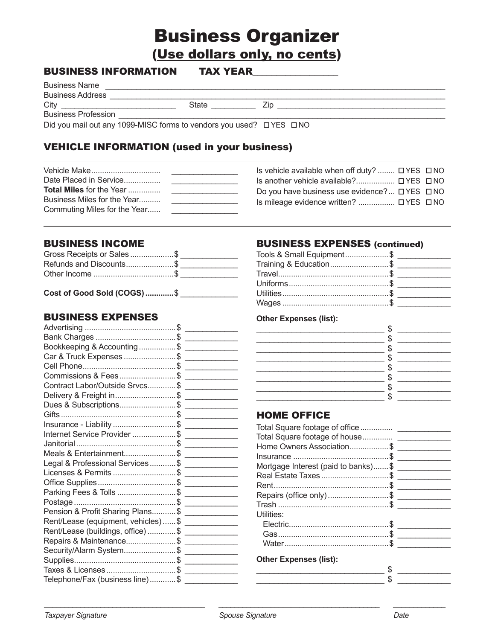# **Business Organizer** (Use dollars only, no cents)

| <b>BUSINESS INFORMATION</b> | <b>TAX YEAR</b> |      |  |
|-----------------------------|-----------------|------|--|
| <b>Business Name</b>        |                 |      |  |
| <b>Business Address</b>     |                 |      |  |
| City                        | State           | ∕ ın |  |
| <b>Business Profession</b>  |                 |      |  |

Did you mail out any 1099-MISC forms to vendors you used? □ YES □ NO

# **VEHICLE INFORMATION (used in your business)**

|                                  | Is vehicle available when off duty? $\Box$ YES $\Box$ NO                                                                                                                                                                                                                                        |  |
|----------------------------------|-------------------------------------------------------------------------------------------------------------------------------------------------------------------------------------------------------------------------------------------------------------------------------------------------|--|
| Date Placed in Service           |                                                                                                                                                                                                                                                                                                 |  |
| <b>Total Miles for the Year </b> | Do you have business use evidence? $\Box$ YES $\Box$ NO<br><u> 1989 - John Harry Harry Harry Harry Harry Harry Harry Harry Harry Harry Harry Harry Harry Harry Harry Harry Harry Harry Harry Harry Harry Harry Harry Harry Harry Harry Harry Harry Harry Harry Harry Harry Harry Harry Harr</u> |  |
| Business Miles for the Year      | Is mileage evidence written?  □ YES □ NO                                                                                                                                                                                                                                                        |  |
| Commuting Miles for the Year     | the control of the control of the control of the control of the control of the control of                                                                                                                                                                                                       |  |

#### **BUSINESS INCOME**

| Gross Receipts or Sales \$ |  |
|----------------------------|--|
| Refunds and Discounts\$    |  |
| Other Income \$            |  |

| Cost of Good Sold (COGS) \$ |  |  |  |
|-----------------------------|--|--|--|
|-----------------------------|--|--|--|

# **BUSINESS EXPENSES**

| Bookkeeping & Accounting \$ _______________         |  |
|-----------------------------------------------------|--|
|                                                     |  |
|                                                     |  |
|                                                     |  |
| Contract Labor/Outside Srvcs\$ _____________        |  |
|                                                     |  |
|                                                     |  |
|                                                     |  |
|                                                     |  |
| Internet Service Provider \$ ______________         |  |
|                                                     |  |
| Meals & Entertainment\$ ______________              |  |
| Legal & Professional Services\$ ______________      |  |
|                                                     |  |
|                                                     |  |
|                                                     |  |
|                                                     |  |
| Pension & Profit Sharing Plans\$ _______________    |  |
| Rent/Lease (equipment, vehicles)  \$ ______________ |  |
| Rent/Lease (buildings, office) \$ _______________   |  |
|                                                     |  |
|                                                     |  |
|                                                     |  |
|                                                     |  |
| Telephone/Fax (business line)\$ _______________     |  |

# **BUSINESS EXPENSES (continued)**

| Tools & Small Equipment\$ _______________ |  |
|-------------------------------------------|--|
|                                           |  |
|                                           |  |
|                                           |  |
|                                           |  |
|                                           |  |

#### **Other Expenses (list):**

| ጦ |  |
|---|--|
| ጥ |  |
|   |  |
|   |  |
|   |  |
|   |  |
|   |  |
|   |  |

## **HOME OFFICE**

| Home Owners Association\$            |  |
|--------------------------------------|--|
|                                      |  |
| Mortgage Interest (paid to banks) \$ |  |
| Real Estate Taxes \$                 |  |
|                                      |  |
| Repairs (office only)\$              |  |
|                                      |  |
| Utilities:                           |  |
|                                      |  |
|                                      |  |
|                                      |  |
|                                      |  |

#### **Other Expenses (list):**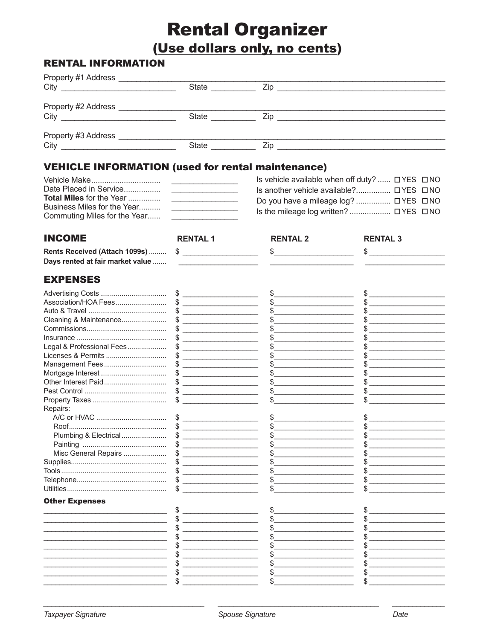# **Rental Organizer**

(Use dollars only, no cents)

# **RENTAL INFORMATION**

| Property #1 Address                       |              |     |  |
|-------------------------------------------|--------------|-----|--|
|                                           | State        | Zip |  |
| Property #2 Address                       |              |     |  |
|                                           | <b>State</b> | Zip |  |
| Property #3 Address                       |              |     |  |
| City<br>the control of the control of the | <b>State</b> | Zip |  |

# **VEHICLE INFORMATION (used for rental maintenance)**

|                                                             |                                                                                                                                                                                                                                      | Is vehicle available when off duty? $\Box$ YES $\Box$ NO |  |
|-------------------------------------------------------------|--------------------------------------------------------------------------------------------------------------------------------------------------------------------------------------------------------------------------------------|----------------------------------------------------------|--|
| Date Placed in Service                                      | $\sim$ -resonance and $\sim$                                                                                                                                                                                                         | Is another vehicle available? □ YES □ NO                 |  |
| <b>Total Miles for the Year </b>                            | <u> The Common State of the Common State of the Common State of the Common State of the Common State of the Common State of the Common State of the Common State of the Common State of the Common State of the Common State of </u> | Do you have a mileage $log?$ $\Box$ YES $\Box$ NO        |  |
| Business Miles for the Year<br>Commuting Miles for the Year |                                                                                                                                                                                                                                      |                                                          |  |
|                                                             |                                                                                                                                                                                                                                      |                                                          |  |

| <b>INCOME</b>                    | <b>RENTAL 1</b>                                                                                                                                                                                                                                                                                                                                                     | <b>RENTAL 2</b>                                                                                                                                                                                                                                                                                                                                                     | <b>RENTAL 3</b>                                                                           |
|----------------------------------|---------------------------------------------------------------------------------------------------------------------------------------------------------------------------------------------------------------------------------------------------------------------------------------------------------------------------------------------------------------------|---------------------------------------------------------------------------------------------------------------------------------------------------------------------------------------------------------------------------------------------------------------------------------------------------------------------------------------------------------------------|-------------------------------------------------------------------------------------------|
| Rents Received (Attach 1099s)    |                                                                                                                                                                                                                                                                                                                                                                     | \$                                                                                                                                                                                                                                                                                                                                                                  | \$                                                                                        |
| Days rented at fair market value | <u> 1989 - Jan Stein Stein Stein Stein Stein Stein Stein Stein Stein Stein Stein Stein Stein Stein Stein Stein S</u>                                                                                                                                                                                                                                                |                                                                                                                                                                                                                                                                                                                                                                     |                                                                                           |
|                                  |                                                                                                                                                                                                                                                                                                                                                                     |                                                                                                                                                                                                                                                                                                                                                                     |                                                                                           |
| <b>EXPENSES</b>                  |                                                                                                                                                                                                                                                                                                                                                                     |                                                                                                                                                                                                                                                                                                                                                                     |                                                                                           |
|                                  | $\frac{1}{2}$                                                                                                                                                                                                                                                                                                                                                       | $\frac{1}{2}$                                                                                                                                                                                                                                                                                                                                                       |                                                                                           |
| Association/HOA Fees             | $\frac{1}{2}$ $\frac{1}{2}$ $\frac{1}{2}$ $\frac{1}{2}$ $\frac{1}{2}$ $\frac{1}{2}$ $\frac{1}{2}$ $\frac{1}{2}$ $\frac{1}{2}$ $\frac{1}{2}$ $\frac{1}{2}$ $\frac{1}{2}$ $\frac{1}{2}$ $\frac{1}{2}$ $\frac{1}{2}$ $\frac{1}{2}$ $\frac{1}{2}$ $\frac{1}{2}$ $\frac{1}{2}$ $\frac{1}{2}$ $\frac{1}{2}$ $\frac{1}{2}$                                                 | $\begin{picture}(20,10) \put(0,0){\vector(1,0){100}} \put(15,0){\vector(1,0){100}} \put(15,0){\vector(1,0){100}} \put(15,0){\vector(1,0){100}} \put(15,0){\vector(1,0){100}} \put(15,0){\vector(1,0){100}} \put(15,0){\vector(1,0){100}} \put(15,0){\vector(1,0){100}} \put(15,0){\vector(1,0){100}} \put(15,0){\vector(1,0){100}} \put(15,0){\vector(1,0){100}} \$ | $\frac{1}{2}$                                                                             |
|                                  |                                                                                                                                                                                                                                                                                                                                                                     | $\begin{picture}(20,10) \put(0,0){\vector(1,0){100}} \put(15,0){\vector(1,0){100}} \put(15,0){\vector(1,0){100}} \put(15,0){\vector(1,0){100}} \put(15,0){\vector(1,0){100}} \put(15,0){\vector(1,0){100}} \put(15,0){\vector(1,0){100}} \put(15,0){\vector(1,0){100}} \put(15,0){\vector(1,0){100}} \put(15,0){\vector(1,0){100}} \put(15,0){\vector(1,0){100}} \$ | $\frac{1}{2}$                                                                             |
| Cleaning & Maintenance           | $\frac{1}{2}$                                                                                                                                                                                                                                                                                                                                                       | $\frac{1}{2}$                                                                                                                                                                                                                                                                                                                                                       | $$\overbrace{\hspace{2.5cm}}$                                                             |
|                                  | $\begin{array}{c} \updownarrow \\ \downarrow \end{array}$                                                                                                                                                                                                                                                                                                           | $\frac{1}{2}$                                                                                                                                                                                                                                                                                                                                                       |                                                                                           |
|                                  | $\frac{1}{2}$ $\frac{1}{2}$ $\frac{1}{2}$ $\frac{1}{2}$ $\frac{1}{2}$ $\frac{1}{2}$ $\frac{1}{2}$ $\frac{1}{2}$ $\frac{1}{2}$ $\frac{1}{2}$ $\frac{1}{2}$ $\frac{1}{2}$ $\frac{1}{2}$ $\frac{1}{2}$ $\frac{1}{2}$ $\frac{1}{2}$ $\frac{1}{2}$ $\frac{1}{2}$ $\frac{1}{2}$ $\frac{1}{2}$ $\frac{1}{2}$ $\frac{1}{2}$                                                 | $\frac{1}{2}$                                                                                                                                                                                                                                                                                                                                                       |                                                                                           |
| Legal & Professional Fees        | $\frac{1}{2}$ $\frac{1}{2}$ $\frac{1}{2}$ $\frac{1}{2}$ $\frac{1}{2}$ $\frac{1}{2}$ $\frac{1}{2}$ $\frac{1}{2}$ $\frac{1}{2}$ $\frac{1}{2}$ $\frac{1}{2}$ $\frac{1}{2}$ $\frac{1}{2}$ $\frac{1}{2}$ $\frac{1}{2}$ $\frac{1}{2}$ $\frac{1}{2}$ $\frac{1}{2}$ $\frac{1}{2}$ $\frac{1}{2}$ $\frac{1}{2}$ $\frac{1}{2}$                                                 |                                                                                                                                                                                                                                                                                                                                                                     |                                                                                           |
|                                  | $\frac{1}{2}$                                                                                                                                                                                                                                                                                                                                                       |                                                                                                                                                                                                                                                                                                                                                                     |                                                                                           |
|                                  | $\qquad \qquad \bullet$                                                                                                                                                                                                                                                                                                                                             | $\frac{1}{2}$                                                                                                                                                                                                                                                                                                                                                       |                                                                                           |
|                                  | $\begin{picture}(20,10) \put(0,0){\vector(1,0){100}} \put(15,0){\vector(1,0){100}} \put(15,0){\vector(1,0){100}} \put(15,0){\vector(1,0){100}} \put(15,0){\vector(1,0){100}} \put(15,0){\vector(1,0){100}} \put(15,0){\vector(1,0){100}} \put(15,0){\vector(1,0){100}} \put(15,0){\vector(1,0){100}} \put(15,0){\vector(1,0){100}} \put(15,0){\vector(1,0){100}} \$ | $\begin{picture}(20,10) \put(0,0){\vector(1,0){100}} \put(15,0){\vector(1,0){100}} \put(15,0){\vector(1,0){100}} \put(15,0){\vector(1,0){100}} \put(15,0){\vector(1,0){100}} \put(15,0){\vector(1,0){100}} \put(15,0){\vector(1,0){100}} \put(15,0){\vector(1,0){100}} \put(15,0){\vector(1,0){100}} \put(15,0){\vector(1,0){100}} \put(15,0){\vector(1,0){100}} \$ |                                                                                           |
|                                  | $\frac{1}{2}$                                                                                                                                                                                                                                                                                                                                                       | $\frac{1}{2}$                                                                                                                                                                                                                                                                                                                                                       | $\frac{1}{2}$                                                                             |
|                                  |                                                                                                                                                                                                                                                                                                                                                                     | $\frac{1}{2}$                                                                                                                                                                                                                                                                                                                                                       | $\frac{1}{2}$                                                                             |
|                                  | $\frac{1}{2}$                                                                                                                                                                                                                                                                                                                                                       |                                                                                                                                                                                                                                                                                                                                                                     |                                                                                           |
| Repairs:                         |                                                                                                                                                                                                                                                                                                                                                                     |                                                                                                                                                                                                                                                                                                                                                                     |                                                                                           |
|                                  | $\begin{array}{c} \updownarrow \\ \downarrow \end{array}$                                                                                                                                                                                                                                                                                                           |                                                                                                                                                                                                                                                                                                                                                                     |                                                                                           |
|                                  | $\begin{picture}(20,10) \put(0,0){\vector(1,0){100}} \put(15,0){\vector(1,0){100}} \put(15,0){\vector(1,0){100}} \put(15,0){\vector(1,0){100}} \put(15,0){\vector(1,0){100}} \put(15,0){\vector(1,0){100}} \put(15,0){\vector(1,0){100}} \put(15,0){\vector(1,0){100}} \put(15,0){\vector(1,0){100}} \put(15,0){\vector(1,0){100}} \put(15,0){\vector(1,0){100}} \$ |                                                                                                                                                                                                                                                                                                                                                                     |                                                                                           |
|                                  | $\begin{picture}(20,10) \put(0,0){\vector(1,0){100}} \put(15,0){\vector(1,0){100}} \put(15,0){\vector(1,0){100}} \put(15,0){\vector(1,0){100}} \put(15,0){\vector(1,0){100}} \put(15,0){\vector(1,0){100}} \put(15,0){\vector(1,0){100}} \put(15,0){\vector(1,0){100}} \put(15,0){\vector(1,0){100}} \put(15,0){\vector(1,0){100}} \put(15,0){\vector(1,0){100}} \$ |                                                                                                                                                                                                                                                                                                                                                                     |                                                                                           |
|                                  |                                                                                                                                                                                                                                                                                                                                                                     | $\frac{1}{2}$                                                                                                                                                                                                                                                                                                                                                       | the control of the control of the control of the control of the control of the control of |
| Misc General Repairs             | $\qquad \qquad \bullet$                                                                                                                                                                                                                                                                                                                                             | $\begin{picture}(20,10) \put(0,0){\vector(1,0){100}} \put(15,0){\vector(1,0){100}} \put(15,0){\vector(1,0){100}} \put(15,0){\vector(1,0){100}} \put(15,0){\vector(1,0){100}} \put(15,0){\vector(1,0){100}} \put(15,0){\vector(1,0){100}} \put(15,0){\vector(1,0){100}} \put(15,0){\vector(1,0){100}} \put(15,0){\vector(1,0){100}} \put(15,0){\vector(1,0){100}} \$ |                                                                                           |
|                                  | $\frac{1}{2}$                                                                                                                                                                                                                                                                                                                                                       | $\frac{1}{2}$                                                                                                                                                                                                                                                                                                                                                       |                                                                                           |
|                                  | $\frac{1}{2}$                                                                                                                                                                                                                                                                                                                                                       | $\begin{array}{c c} \uparrow \end{array}$                                                                                                                                                                                                                                                                                                                           | $\frac{1}{2}$                                                                             |
|                                  | $\frac{1}{1}$                                                                                                                                                                                                                                                                                                                                                       | $\frac{1}{2}$                                                                                                                                                                                                                                                                                                                                                       | $\frac{1}{2}$                                                                             |
|                                  |                                                                                                                                                                                                                                                                                                                                                                     | \$                                                                                                                                                                                                                                                                                                                                                                  |                                                                                           |
| <b>Other Expenses</b>            |                                                                                                                                                                                                                                                                                                                                                                     |                                                                                                                                                                                                                                                                                                                                                                     |                                                                                           |
|                                  |                                                                                                                                                                                                                                                                                                                                                                     |                                                                                                                                                                                                                                                                                                                                                                     |                                                                                           |
|                                  |                                                                                                                                                                                                                                                                                                                                                                     | $\mathbb{S}$ and $\mathbb{S}$                                                                                                                                                                                                                                                                                                                                       |                                                                                           |
|                                  | $\frac{1}{2}$                                                                                                                                                                                                                                                                                                                                                       | $\frac{1}{2}$                                                                                                                                                                                                                                                                                                                                                       |                                                                                           |
|                                  | $\frac{1}{2}$                                                                                                                                                                                                                                                                                                                                                       | $\frac{1}{2}$                                                                                                                                                                                                                                                                                                                                                       | $\frac{1}{2}$                                                                             |
|                                  | <u>experience</u> and the contract of the contract of the contract of the contract of the contract of the contract of                                                                                                                                                                                                                                               | $\frac{1}{2}$                                                                                                                                                                                                                                                                                                                                                       |                                                                                           |
|                                  |                                                                                                                                                                                                                                                                                                                                                                     | <u> 1989 - Johann Stoff, deutscher Stoffen und der Stoffen und der Stoffen und der Stoffen und der Stoffen und der </u>                                                                                                                                                                                                                                             | <u> 1989 - Jan Alexandria (h. 1989).</u>                                                  |
|                                  |                                                                                                                                                                                                                                                                                                                                                                     |                                                                                                                                                                                                                                                                                                                                                                     |                                                                                           |
|                                  |                                                                                                                                                                                                                                                                                                                                                                     |                                                                                                                                                                                                                                                                                                                                                                     |                                                                                           |
|                                  |                                                                                                                                                                                                                                                                                                                                                                     |                                                                                                                                                                                                                                                                                                                                                                     |                                                                                           |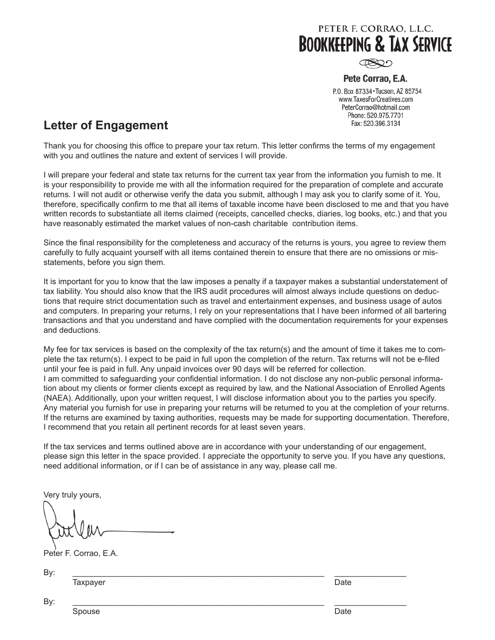

 $\circledR$ 

#### Pete Corrao, E.A.

P.O. Box 87334 · Tucson, AZ 85754 www.TaxesForCreatives.com PeterCorrao@hotmail.com Phone: 520.975.7701 Fax: 520.396.3134

# **Letter of Engagement**

Thank you for choosing this office to prepare your tax return. This letter confirms the terms of my engagement with you and outlines the nature and extent of services I will provide.

I will prepare your federal and state tax returns for the current tax year from the information you furnish to me. It is your responsibility to provide me with all the information required for the preparation of complete and accurate returns. I will not audit or otherwise verify the data you submit, although I may ask you to clarify some of it. You, therefore, specifically confirm to me that all items of taxable income have been disclosed to me and that you have written records to substantiate all items claimed (receipts, cancelled checks, diaries, log books, etc.) and that you have reasonably estimated the market values of non-cash charitable contribution items.

Since the final responsibility for the completeness and accuracy of the returns is yours, you agree to review them carefully to fully acquaint yourself with all items contained therein to ensure that there are no omissions or misstatements, before you sign them.

It is important for you to know that the law imposes a penalty if a taxpayer makes a substantial understatement of tax liability. You should also know that the IRS audit procedures will almost always include questions on deductions that require strict documentation such as travel and entertainment expenses, and business usage of autos and computers. In preparing your returns, I rely on your representations that I have been informed of all bartering transactions and that you understand and have complied with the documentation requirements for your expenses and deductions.

My fee for tax services is based on the complexity of the tax return(s) and the amount of time it takes me to complete the tax return(s). I expect to be paid in full upon the completion of the return. Tax returns will not be e-filed until your fee is paid in full. Any unpaid invoices over 90 days will be referred for collection. I am committed to safeguarding your confidential information. I do not disclose any non-public personal information about my clients or former clients except as required by law, and the National Association of Enrolled Agents (NAEA). Additionally, upon your written request, I will disclose information about you to the parties you specify. Any material you furnish for use in preparing your returns will be returned to you at the completion of your returns. If the returns are examined by taxing authorities, requests may be made for supporting documentation. Therefore, I recommend that you retain all pertinent records for at least seven years.

If the tax services and terms outlined above are in accordance with your understanding of our engagement, please sign this letter in the space provided. I appreciate the opportunity to serve you. If you have any questions, need additional information, or if I can be of assistance in any way, please call me.

Very truly yours,

Peter F. Corrao, E.A.

By: \_\_\_\_\_\_\_\_\_\_\_\_\_\_\_\_\_\_\_\_\_\_\_\_\_\_\_\_\_\_\_\_\_\_\_\_\_\_\_\_\_\_\_\_\_\_\_\_\_\_\_\_\_\_\_\_ \_\_\_\_\_\_\_\_\_\_\_\_\_\_\_\_

Taxpayer **Date** 

By: \_\_\_\_\_\_\_\_\_\_\_\_\_\_\_\_\_\_\_\_\_\_\_\_\_\_\_\_\_\_\_\_\_\_\_\_\_\_\_\_\_\_\_\_\_\_\_\_\_\_\_\_\_\_\_\_ \_\_\_\_\_\_\_\_\_\_\_\_\_\_\_\_